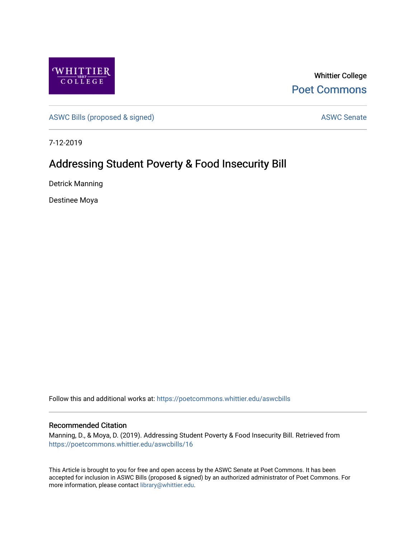

Whittier College [Poet Commons](https://poetcommons.whittier.edu/) 

[ASWC Bills \(proposed & signed\)](https://poetcommons.whittier.edu/aswcbills) ASWC Senate

7-12-2019

## Addressing Student Poverty & Food Insecurity Bill

Detrick Manning

Destinee Moya

Follow this and additional works at: [https://poetcommons.whittier.edu/aswcbills](https://poetcommons.whittier.edu/aswcbills?utm_source=poetcommons.whittier.edu%2Faswcbills%2F16&utm_medium=PDF&utm_campaign=PDFCoverPages) 

## Recommended Citation

Manning, D., & Moya, D. (2019). Addressing Student Poverty & Food Insecurity Bill. Retrieved from [https://poetcommons.whittier.edu/aswcbills/16](https://poetcommons.whittier.edu/aswcbills/16?utm_source=poetcommons.whittier.edu%2Faswcbills%2F16&utm_medium=PDF&utm_campaign=PDFCoverPages)

This Article is brought to you for free and open access by the ASWC Senate at Poet Commons. It has been accepted for inclusion in ASWC Bills (proposed & signed) by an authorized administrator of Poet Commons. For more information, please contact [library@whittier.edu.](mailto:library@whittier.edu)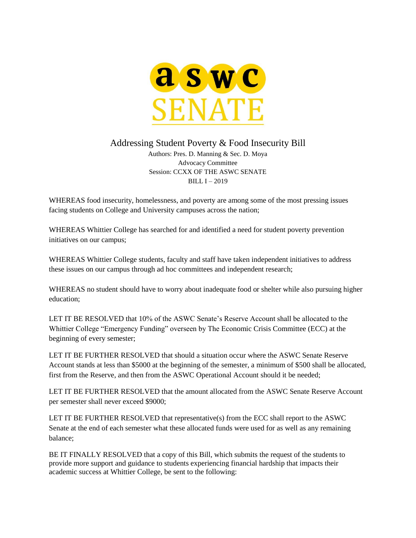

Addressing Student Poverty & Food Insecurity Bill

Authors: Pres. D. Manning & Sec. D. Moya Advocacy Committee Session: CCXX OF THE ASWC SENATE BILL  $I - 2019$ 

WHEREAS food insecurity, homelessness, and poverty are among some of the most pressing issues facing students on College and University campuses across the nation;

WHEREAS Whittier College has searched for and identified a need for student poverty prevention initiatives on our campus;

WHEREAS Whittier College students, faculty and staff have taken independent initiatives to address these issues on our campus through ad hoc committees and independent research;

WHEREAS no student should have to worry about inadequate food or shelter while also pursuing higher education;

LET IT BE RESOLVED that 10% of the ASWC Senate's Reserve Account shall be allocated to the Whittier College "Emergency Funding" overseen by The Economic Crisis Committee (ECC) at the beginning of every semester;

LET IT BE FURTHER RESOLVED that should a situation occur where the ASWC Senate Reserve Account stands at less than \$5000 at the beginning of the semester, a minimum of \$500 shall be allocated, first from the Reserve, and then from the ASWC Operational Account should it be needed;

LET IT BE FURTHER RESOLVED that the amount allocated from the ASWC Senate Reserve Account per semester shall never exceed \$9000;

LET IT BE FURTHER RESOLVED that representative(s) from the ECC shall report to the ASWC Senate at the end of each semester what these allocated funds were used for as well as any remaining balance;

BE IT FINALLY RESOLVED that a copy of this Bill, which submits the request of the students to provide more support and guidance to students experiencing financial hardship that impacts their academic success at Whittier College, be sent to the following: